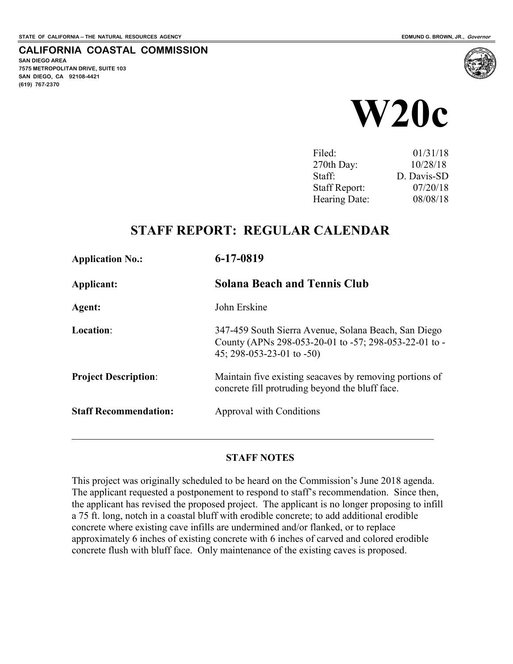**SAN DIEGO AREA** 

**(619) 767-2370**

**7575 METROPOLITAN DRIVE, SUITE 103 SAN DIEGO, CA 92108-4421**

**CALIFORNIA COASTAL COMMISSION** 

# **W20c**

| Filed:               | 01/31/18    |
|----------------------|-------------|
| 270th Day:           | 10/28/18    |
| Staff:               | D. Davis-SD |
| <b>Staff Report:</b> | 07/20/18    |
| Hearing Date:        | 08/08/18    |

# **STAFF REPORT: REGULAR CALENDAR**

| <b>Application No.:</b>      | 6-17-0819                                                                                                                                       |
|------------------------------|-------------------------------------------------------------------------------------------------------------------------------------------------|
| Applicant:                   | <b>Solana Beach and Tennis Club</b>                                                                                                             |
| Agent:                       | John Erskine                                                                                                                                    |
| Location:                    | 347-459 South Sierra Avenue, Solana Beach, San Diego<br>County (APNs 298-053-20-01 to -57; 298-053-22-01 to -<br>$45; 298-053-23-01$ to $-50$ ) |
| <b>Project Description:</b>  | Maintain five existing seacaves by removing portions of<br>concrete fill protruding beyond the bluff face.                                      |
| <b>Staff Recommendation:</b> | Approval with Conditions                                                                                                                        |

#### **STAFF NOTES**

This project was originally scheduled to be heard on the Commission's June 2018 agenda. The applicant requested a postponement to respond to staff's recommendation. Since then, the applicant has revised the proposed project. The applicant is no longer proposing to infill a 75 ft. long, notch in a coastal bluff with erodible concrete; to add additional erodible concrete where existing cave infills are undermined and/or flanked, or to replace approximately 6 inches of existing concrete with 6 inches of carved and colored erodible concrete flush with bluff face. Only maintenance of the existing caves is proposed.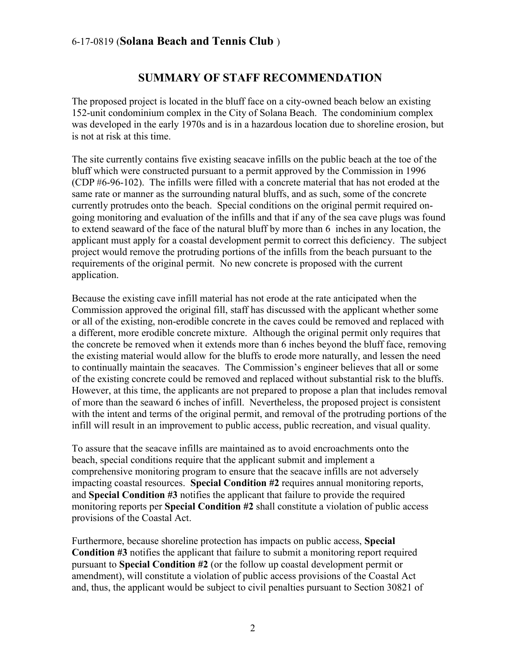#### **SUMMARY OF STAFF RECOMMENDATION**

The proposed project is located in the bluff face on a city-owned beach below an existing 152-unit condominium complex in the City of Solana Beach. The condominium complex was developed in the early 1970s and is in a hazardous location due to shoreline erosion, but is not at risk at this time.

The site currently contains five existing seacave infills on the public beach at the toe of the bluff which were constructed pursuant to a permit approved by the Commission in 1996 (CDP #6-96-102). The infills were filled with a concrete material that has not eroded at the same rate or manner as the surrounding natural bluffs, and as such, some of the concrete currently protrudes onto the beach. Special conditions on the original permit required ongoing monitoring and evaluation of the infills and that if any of the sea cave plugs was found to extend seaward of the face of the natural bluff by more than 6 inches in any location, the applicant must apply for a coastal development permit to correct this deficiency. The subject project would remove the protruding portions of the infills from the beach pursuant to the requirements of the original permit. No new concrete is proposed with the current application.

Because the existing cave infill material has not erode at the rate anticipated when the Commission approved the original fill, staff has discussed with the applicant whether some or all of the existing, non-erodible concrete in the caves could be removed and replaced with a different, more erodible concrete mixture. Although the original permit only requires that the concrete be removed when it extends more than 6 inches beyond the bluff face, removing the existing material would allow for the bluffs to erode more naturally, and lessen the need to continually maintain the seacaves. The Commission's engineer believes that all or some of the existing concrete could be removed and replaced without substantial risk to the bluffs. However, at this time, the applicants are not prepared to propose a plan that includes removal of more than the seaward 6 inches of infill. Nevertheless, the proposed project is consistent with the intent and terms of the original permit, and removal of the protruding portions of the infill will result in an improvement to public access, public recreation, and visual quality.

To assure that the seacave infills are maintained as to avoid encroachments onto the beach, special conditions require that the applicant submit and implement a comprehensive monitoring program to ensure that the seacave infills are not adversely impacting coastal resources. **Special Condition #2** requires annual monitoring reports, and **Special Condition #3** notifies the applicant that failure to provide the required monitoring reports per **Special Condition #2** shall constitute a violation of public access provisions of the Coastal Act.

Furthermore, because shoreline protection has impacts on public access, **Special Condition #3** notifies the applicant that failure to submit a monitoring report required pursuant to **Special Condition #2** (or the follow up coastal development permit or amendment), will constitute a violation of public access provisions of the Coastal Act and, thus, the applicant would be subject to civil penalties pursuant to Section 30821 of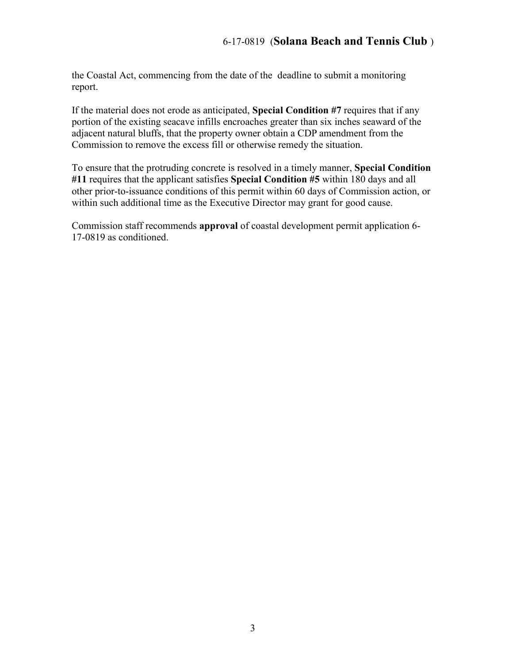the Coastal Act, commencing from the date of the deadline to submit a monitoring report.

If the material does not erode as anticipated, **Special Condition #7** requires that if any portion of the existing seacave infills encroaches greater than six inches seaward of the adjacent natural bluffs, that the property owner obtain a CDP amendment from the Commission to remove the excess fill or otherwise remedy the situation.

To ensure that the protruding concrete is resolved in a timely manner, **Special Condition #11** requires that the applicant satisfies **Special Condition #5** within 180 days and all other prior-to-issuance conditions of this permit within 60 days of Commission action, or within such additional time as the Executive Director may grant for good cause.

Commission staff recommends **approval** of coastal development permit application 6- 17-0819 as conditioned.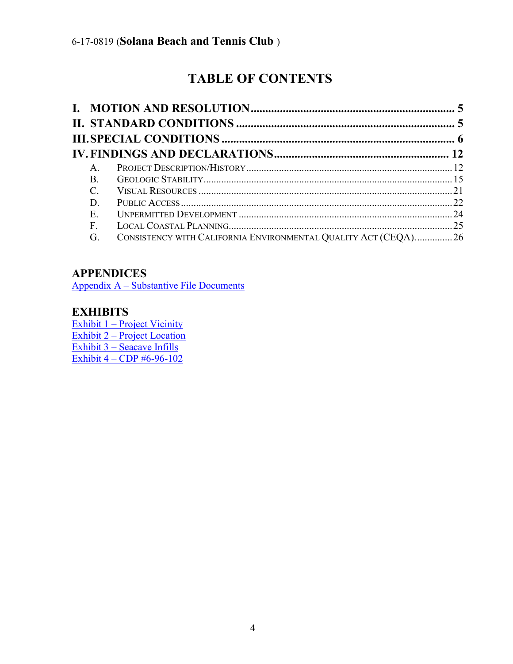# **TABLE OF CONTENTS**

| $\mathsf{A}$    |                                                                |  |
|-----------------|----------------------------------------------------------------|--|
| <b>B</b> .      |                                                                |  |
| $\mathcal{C}$ . |                                                                |  |
| D               |                                                                |  |
| Ε.              |                                                                |  |
| F.              |                                                                |  |
| G.              | CONSISTENCY WITH CALIFORNIA ENVIRONMENTAL QUALITY ACT (CEQA)26 |  |

# **APPENDICES**

[Appendix A – Substantive File Documents](#page-26-0)

# **EXHIBITS**

[Exhibit 1 – Project Vicinity](https://documents.coastal.ca.gov/reports/2018/8/W20c/W20c-8-2018-exhibits.pdf)  [Exhibit 2 – Project Location](https://documents.coastal.ca.gov/reports/2018/8/W20c/W20c-8-2018-exhibits.pdf)  [Exhibit 3 – Seacave Infills](https://documents.coastal.ca.gov/reports/2018/8/W20c/W20c-8-2018-exhibits.pdf)  [Exhibit 4 – CDP #6-96-102](https://documents.coastal.ca.gov/reports/2018/8/W20c/W20c-8-2018-exhibits.pdf)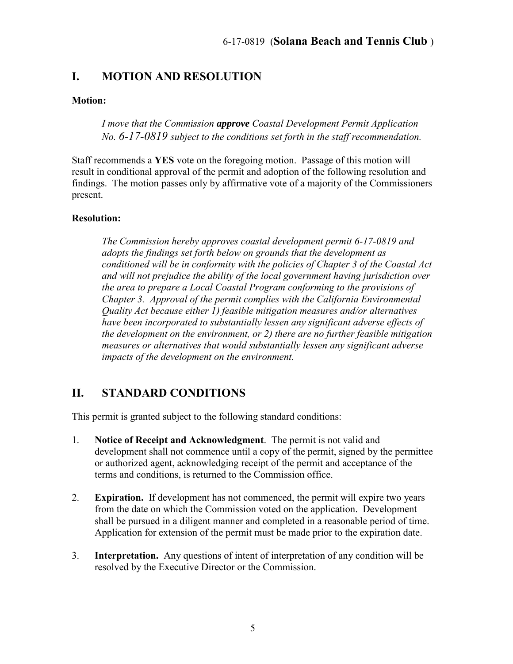# <span id="page-4-0"></span>**I. MOTION AND RESOLUTION**

#### **Motion:**

*I move that the Commission approve Coastal Development Permit Application No. 6-17-0819 subject to the conditions set forth in the staff recommendation.* 

Staff recommends a **YES** vote on the foregoing motion. Passage of this motion will result in conditional approval of the permit and adoption of the following resolution and findings. The motion passes only by affirmative vote of a majority of the Commissioners present.

#### **Resolution:**

*The Commission hereby approves coastal development permit 6-17-0819 and adopts the findings set forth below on grounds that the development as conditioned will be in conformity with the policies of Chapter 3 of the Coastal Act and will not prejudice the ability of the local government having jurisdiction over the area to prepare a Local Coastal Program conforming to the provisions of Chapter 3. Approval of the permit complies with the California Environmental Quality Act because either 1) feasible mitigation measures and/or alternatives have been incorporated to substantially lessen any significant adverse effects of the development on the environment, or 2) there are no further feasible mitigation measures or alternatives that would substantially lessen any significant adverse impacts of the development on the environment.* 

# <span id="page-4-1"></span>**II. STANDARD CONDITIONS**

This permit is granted subject to the following standard conditions:

- 1. **Notice of Receipt and Acknowledgment**. The permit is not valid and development shall not commence until a copy of the permit, signed by the permittee or authorized agent, acknowledging receipt of the permit and acceptance of the terms and conditions, is returned to the Commission office.
- 2. **Expiration.** If development has not commenced, the permit will expire two years from the date on which the Commission voted on the application. Development shall be pursued in a diligent manner and completed in a reasonable period of time. Application for extension of the permit must be made prior to the expiration date.
- 3. **Interpretation.** Any questions of intent of interpretation of any condition will be resolved by the Executive Director or the Commission.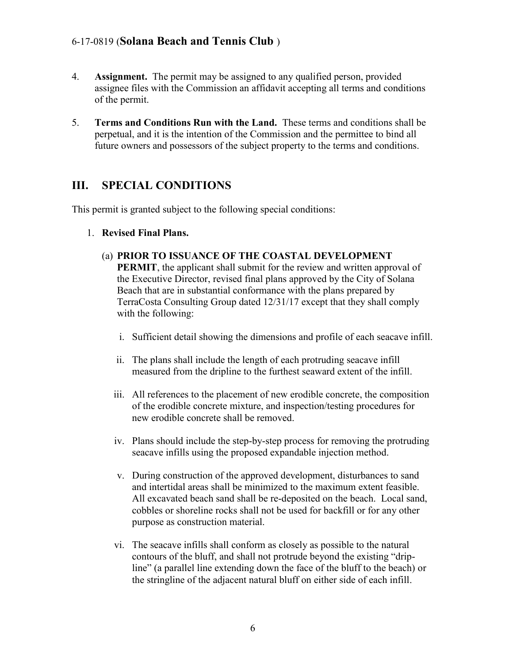- 4. **Assignment.** The permit may be assigned to any qualified person, provided assignee files with the Commission an affidavit accepting all terms and conditions of the permit.
- 5. **Terms and Conditions Run with the Land.** These terms and conditions shall be perpetual, and it is the intention of the Commission and the permittee to bind all future owners and possessors of the subject property to the terms and conditions.

# <span id="page-5-0"></span>**III. SPECIAL CONDITIONS**

This permit is granted subject to the following special conditions:

- 1. **Revised Final Plans.**
	- (a) **PRIOR TO ISSUANCE OF THE COASTAL DEVELOPMENT**

**PERMIT**, the applicant shall submit for the review and written approval of the Executive Director, revised final plans approved by the City of Solana Beach that are in substantial conformance with the plans prepared by TerraCosta Consulting Group dated 12/31/17 except that they shall comply with the following:

- i. Sufficient detail showing the dimensions and profile of each seacave infill.
- ii. The plans shall include the length of each protruding seacave infill measured from the dripline to the furthest seaward extent of the infill.
- iii. All references to the placement of new erodible concrete, the composition of the erodible concrete mixture, and inspection/testing procedures for new erodible concrete shall be removed.
- iv. Plans should include the step-by-step process for removing the protruding seacave infills using the proposed expandable injection method.
- v. During construction of the approved development, disturbances to sand and intertidal areas shall be minimized to the maximum extent feasible. All excavated beach sand shall be re-deposited on the beach. Local sand, cobbles or shoreline rocks shall not be used for backfill or for any other purpose as construction material.
- vi. The seacave infills shall conform as closely as possible to the natural contours of the bluff, and shall not protrude beyond the existing "dripline" (a parallel line extending down the face of the bluff to the beach) or the stringline of the adjacent natural bluff on either side of each infill.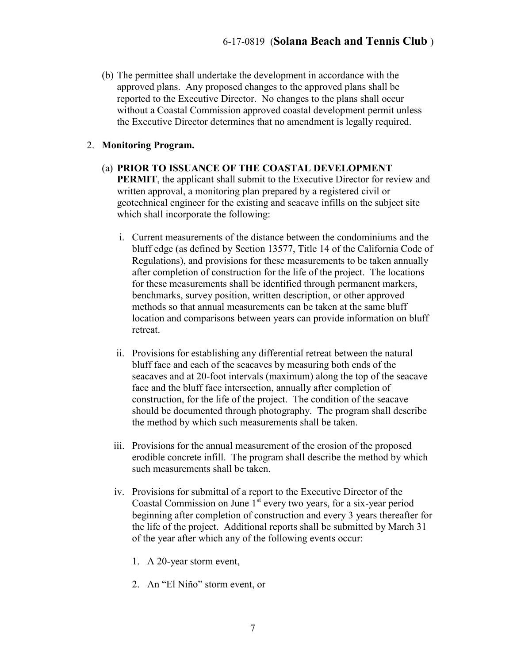(b) The permittee shall undertake the development in accordance with the approved plans. Any proposed changes to the approved plans shall be reported to the Executive Director. No changes to the plans shall occur without a Coastal Commission approved coastal development permit unless the Executive Director determines that no amendment is legally required.

#### 2. **Monitoring Program.**

- (a) **PRIOR TO ISSUANCE OF THE COASTAL DEVELOPMENT PERMIT**, the applicant shall submit to the Executive Director for review and written approval, a monitoring plan prepared by a registered civil or geotechnical engineer for the existing and seacave infills on the subject site which shall incorporate the following:
	- i. Current measurements of the distance between the condominiums and the bluff edge (as defined by Section 13577, Title 14 of the California Code of Regulations), and provisions for these measurements to be taken annually after completion of construction for the life of the project. The locations for these measurements shall be identified through permanent markers, benchmarks, survey position, written description, or other approved methods so that annual measurements can be taken at the same bluff location and comparisons between years can provide information on bluff retreat.
	- ii. Provisions for establishing any differential retreat between the natural bluff face and each of the seacaves by measuring both ends of the seacaves and at 20-foot intervals (maximum) along the top of the seacave face and the bluff face intersection, annually after completion of construction, for the life of the project. The condition of the seacave should be documented through photography. The program shall describe the method by which such measurements shall be taken.
	- iii. Provisions for the annual measurement of the erosion of the proposed erodible concrete infill. The program shall describe the method by which such measurements shall be taken.
	- iv. Provisions for submittal of a report to the Executive Director of the Coastal Commission on June  $1<sup>st</sup>$  every two years, for a six-year period beginning after completion of construction and every 3 years thereafter for the life of the project. Additional reports shall be submitted by March 31 of the year after which any of the following events occur:
		- 1. A 20-year storm event,
		- 2. An "El Niño" storm event, or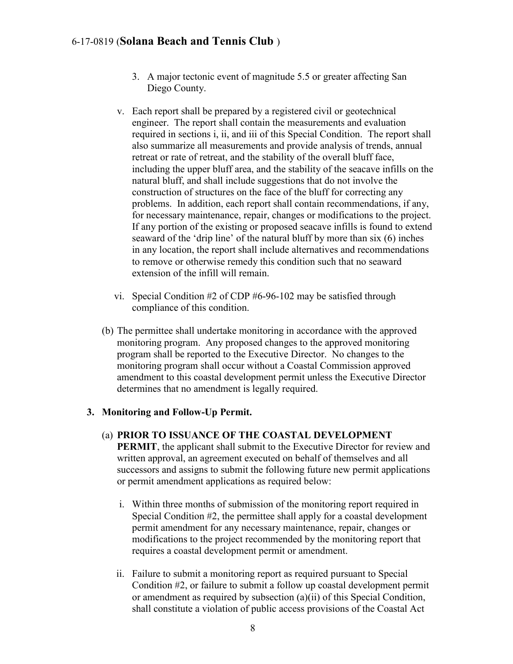- 3. A major tectonic event of magnitude 5.5 or greater affecting San Diego County.
- v. Each report shall be prepared by a registered civil or geotechnical engineer. The report shall contain the measurements and evaluation required in sections i, ii, and iii of this Special Condition. The report shall also summarize all measurements and provide analysis of trends, annual retreat or rate of retreat, and the stability of the overall bluff face, including the upper bluff area, and the stability of the seacave infills on the natural bluff, and shall include suggestions that do not involve the construction of structures on the face of the bluff for correcting any problems. In addition, each report shall contain recommendations, if any, for necessary maintenance, repair, changes or modifications to the project. If any portion of the existing or proposed seacave infills is found to extend seaward of the 'drip line' of the natural bluff by more than six (6) inches in any location, the report shall include alternatives and recommendations to remove or otherwise remedy this condition such that no seaward extension of the infill will remain.
- vi. Special Condition #2 of CDP #6-96-102 may be satisfied through compliance of this condition.
- (b) The permittee shall undertake monitoring in accordance with the approved monitoring program. Any proposed changes to the approved monitoring program shall be reported to the Executive Director. No changes to the monitoring program shall occur without a Coastal Commission approved amendment to this coastal development permit unless the Executive Director determines that no amendment is legally required.

#### **3. Monitoring and Follow-Up Permit.**

- (a) **PRIOR TO ISSUANCE OF THE COASTAL DEVELOPMENT PERMIT**, the applicant shall submit to the Executive Director for review and written approval, an agreement executed on behalf of themselves and all successors and assigns to submit the following future new permit applications or permit amendment applications as required below:
	- i. Within three months of submission of the monitoring report required in Special Condition #2, the permittee shall apply for a coastal development permit amendment for any necessary maintenance, repair, changes or modifications to the project recommended by the monitoring report that requires a coastal development permit or amendment.
	- ii. Failure to submit a monitoring report as required pursuant to Special Condition #2, or failure to submit a follow up coastal development permit or amendment as required by subsection (a)(ii) of this Special Condition, shall constitute a violation of public access provisions of the Coastal Act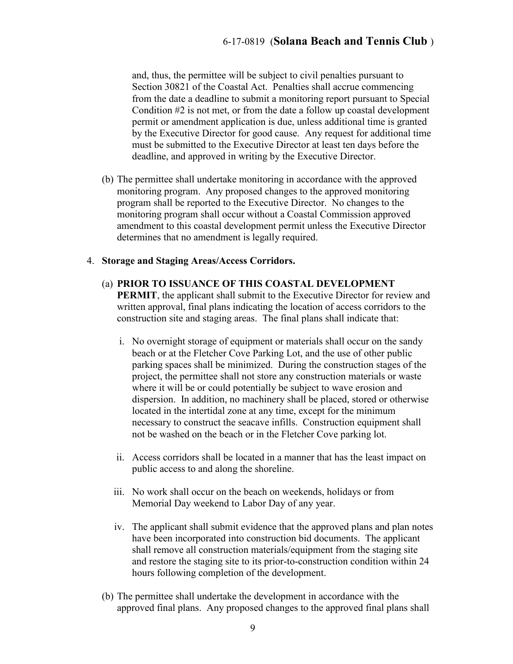and, thus, the permittee will be subject to civil penalties pursuant to Section 30821 of the Coastal Act. Penalties shall accrue commencing from the date a deadline to submit a monitoring report pursuant to Special Condition #2 is not met, or from the date a follow up coastal development permit or amendment application is due, unless additional time is granted by the Executive Director for good cause. Any request for additional time must be submitted to the Executive Director at least ten days before the deadline, and approved in writing by the Executive Director.

(b) The permittee shall undertake monitoring in accordance with the approved monitoring program. Any proposed changes to the approved monitoring program shall be reported to the Executive Director. No changes to the monitoring program shall occur without a Coastal Commission approved amendment to this coastal development permit unless the Executive Director determines that no amendment is legally required.

#### 4. **Storage and Staging Areas/Access Corridors.**

#### (a) **PRIOR TO ISSUANCE OF THIS COASTAL DEVELOPMENT**

**PERMIT**, the applicant shall submit to the Executive Director for review and written approval, final plans indicating the location of access corridors to the construction site and staging areas. The final plans shall indicate that:

- i. No overnight storage of equipment or materials shall occur on the sandy beach or at the Fletcher Cove Parking Lot, and the use of other public parking spaces shall be minimized. During the construction stages of the project, the permittee shall not store any construction materials or waste where it will be or could potentially be subject to wave erosion and dispersion. In addition, no machinery shall be placed, stored or otherwise located in the intertidal zone at any time, except for the minimum necessary to construct the seacave infills. Construction equipment shall not be washed on the beach or in the Fletcher Cove parking lot.
- ii. Access corridors shall be located in a manner that has the least impact on public access to and along the shoreline.
- iii. No work shall occur on the beach on weekends, holidays or from Memorial Day weekend to Labor Day of any year.
- iv. The applicant shall submit evidence that the approved plans and plan notes have been incorporated into construction bid documents. The applicant shall remove all construction materials/equipment from the staging site and restore the staging site to its prior-to-construction condition within 24 hours following completion of the development.
- (b) The permittee shall undertake the development in accordance with the approved final plans. Any proposed changes to the approved final plans shall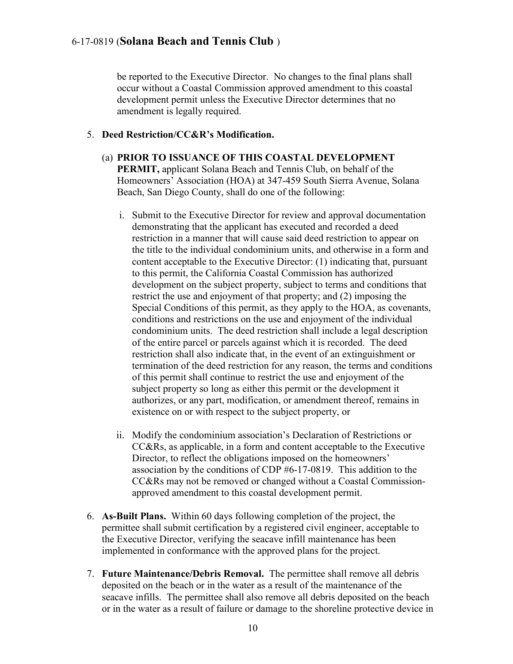be reported to the Executive Director. No changes to the final plans shall occur without a Coastal Commission approved amendment to this coastal development permit unless the Executive Director determines that no amendment is legally required.

#### 5. **Deed Restriction/CC&R's Modification.**

- (a) **PRIOR TO ISSUANCE OF THIS COASTAL DEVELOPMENT PERMIT,** applicant Solana Beach and Tennis Club, on behalf of the Homeowners' Association (HOA) at 347-459 South Sierra Avenue, Solana Beach, San Diego County, shall do one of the following:
	- i. Submit to the Executive Director for review and approval documentation demonstrating that the applicant has executed and recorded a deed restriction in a manner that will cause said deed restriction to appear on the title to the individual condominium units, and otherwise in a form and content acceptable to the Executive Director: (1) indicating that, pursuant to this permit, the California Coastal Commission has authorized development on the subject property, subject to terms and conditions that restrict the use and enjoyment of that property; and (2) imposing the Special Conditions of this permit, as they apply to the HOA, as covenants, conditions and restrictions on the use and enjoyment of the individual condominium units. The deed restriction shall include a legal description of the entire parcel or parcels against which it is recorded. The deed restriction shall also indicate that, in the event of an extinguishment or termination of the deed restriction for any reason, the terms and conditions of this permit shall continue to restrict the use and enjoyment of the subject property so long as either this permit or the development it authorizes, or any part, modification, or amendment thereof, remains in existence on or with respect to the subject property, or
	- ii. Modify the condominium association's Declaration of Restrictions or CC&Rs, as applicable, in a form and content acceptable to the Executive Director, to reflect the obligations imposed on the homeowners' association by the conditions of CDP #6-17-0819. This addition to the CC&Rs may not be removed or changed without a Coastal Commissionapproved amendment to this coastal development permit.
- 6. **As-Built Plans.** Within 60 days following completion of the project, the permittee shall submit certification by a registered civil engineer, acceptable to the Executive Director, verifying the seacave infill maintenance has been implemented in conformance with the approved plans for the project.
- 7. **Future Maintenance/Debris Removal.** The permittee shall remove all debris deposited on the beach or in the water as a result of the maintenance of the seacave infills. The permittee shall also remove all debris deposited on the beach or in the water as a result of failure or damage to the shoreline protective device in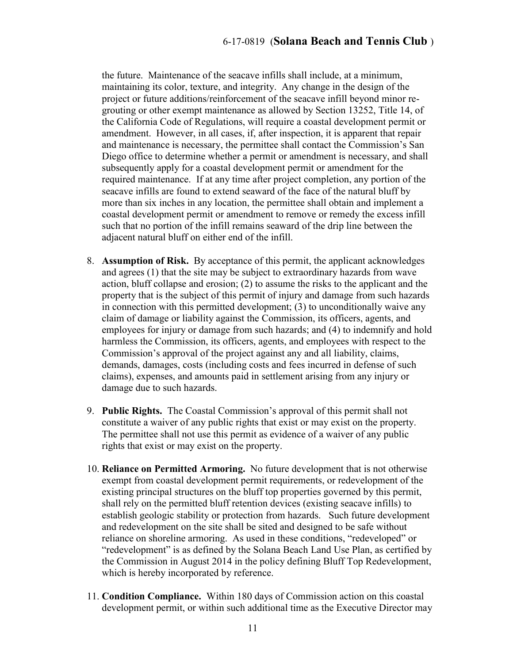the future. Maintenance of the seacave infills shall include, at a minimum, maintaining its color, texture, and integrity. Any change in the design of the project or future additions/reinforcement of the seacave infill beyond minor regrouting or other exempt maintenance as allowed by Section 13252, Title 14, of the California Code of Regulations, will require a coastal development permit or amendment. However, in all cases, if, after inspection, it is apparent that repair and maintenance is necessary, the permittee shall contact the Commission's San Diego office to determine whether a permit or amendment is necessary, and shall subsequently apply for a coastal development permit or amendment for the required maintenance. If at any time after project completion, any portion of the seacave infills are found to extend seaward of the face of the natural bluff by more than six inches in any location, the permittee shall obtain and implement a coastal development permit or amendment to remove or remedy the excess infill such that no portion of the infill remains seaward of the drip line between the adjacent natural bluff on either end of the infill.

- 8. **Assumption of Risk.** By acceptance of this permit, the applicant acknowledges and agrees (1) that the site may be subject to extraordinary hazards from wave action, bluff collapse and erosion; (2) to assume the risks to the applicant and the property that is the subject of this permit of injury and damage from such hazards in connection with this permitted development; (3) to unconditionally waive any claim of damage or liability against the Commission, its officers, agents, and employees for injury or damage from such hazards; and (4) to indemnify and hold harmless the Commission, its officers, agents, and employees with respect to the Commission's approval of the project against any and all liability, claims, demands, damages, costs (including costs and fees incurred in defense of such claims), expenses, and amounts paid in settlement arising from any injury or damage due to such hazards.
- 9. **Public Rights.** The Coastal Commission's approval of this permit shall not constitute a waiver of any public rights that exist or may exist on the property. The permittee shall not use this permit as evidence of a waiver of any public rights that exist or may exist on the property.
- 10. **Reliance on Permitted Armoring.** No future development that is not otherwise exempt from coastal development permit requirements, or redevelopment of the existing principal structures on the bluff top properties governed by this permit, shall rely on the permitted bluff retention devices (existing seacave infills) to establish geologic stability or protection from hazards. Such future development and redevelopment on the site shall be sited and designed to be safe without reliance on shoreline armoring. As used in these conditions, "redeveloped" or "redevelopment" is as defined by the Solana Beach Land Use Plan, as certified by the Commission in August 2014 in the policy defining Bluff Top Redevelopment, which is hereby incorporated by reference.
- 11. **Condition Compliance.** Within 180 days of Commission action on this coastal development permit, or within such additional time as the Executive Director may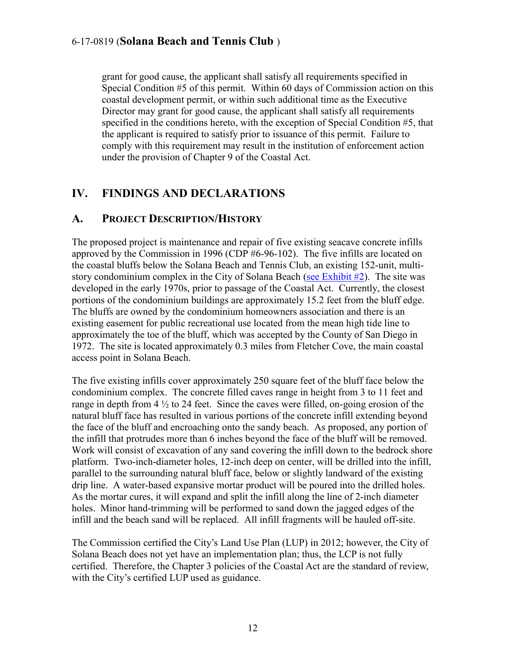grant for good cause, the applicant shall satisfy all requirements specified in Special Condition #5 of this permit. Within 60 days of Commission action on this coastal development permit, or within such additional time as the Executive Director may grant for good cause, the applicant shall satisfy all requirements specified in the conditions hereto, with the exception of Special Condition #5, that the applicant is required to satisfy prior to issuance of this permit. Failure to comply with this requirement may result in the institution of enforcement action under the provision of Chapter 9 of the Coastal Act.

# <span id="page-11-0"></span>**IV. FINDINGS AND DECLARATIONS**

#### <span id="page-11-1"></span>**A. PROJECT DESCRIPTION/HISTORY**

The proposed project is maintenance and repair of five existing seacave concrete infills approved by the Commission in 1996 (CDP #6-96-102). The five infills are located on the coastal bluffs below the Solana Beach and Tennis Club, an existing 152-unit, multistory condominium complex in the City of Solana Beach [\(see Exhibit #2\)](https://documents.coastal.ca.gov/reports/2018/8/W20c/W20c-8-2018-exhibits.pdf). The site was developed in the early 1970s, prior to passage of the Coastal Act. Currently, the closest portions of the condominium buildings are approximately 15.2 feet from the bluff edge. The bluffs are owned by the condominium homeowners association and there is an existing easement for public recreational use located from the mean high tide line to approximately the toe of the bluff, which was accepted by the County of San Diego in 1972. The site is located approximately 0.3 miles from Fletcher Cove, the main coastal access point in Solana Beach.

The five existing infills cover approximately 250 square feet of the bluff face below the condominium complex. The concrete filled caves range in height from 3 to 11 feet and range in depth from  $4\frac{1}{2}$  to 24 feet. Since the caves were filled, on-going erosion of the natural bluff face has resulted in various portions of the concrete infill extending beyond the face of the bluff and encroaching onto the sandy beach. As proposed, any portion of the infill that protrudes more than 6 inches beyond the face of the bluff will be removed. Work will consist of excavation of any sand covering the infill down to the bedrock shore platform. Two-inch-diameter holes, 12-inch deep on center, will be drilled into the infill, parallel to the surrounding natural bluff face, below or slightly landward of the existing drip line. A water-based expansive mortar product will be poured into the drilled holes. As the mortar cures, it will expand and split the infill along the line of 2-inch diameter holes. Minor hand-trimming will be performed to sand down the jagged edges of the infill and the beach sand will be replaced. All infill fragments will be hauled off-site.

The Commission certified the City's Land Use Plan (LUP) in 2012; however, the City of Solana Beach does not yet have an implementation plan; thus, the LCP is not fully certified. Therefore, the Chapter 3 policies of the Coastal Act are the standard of review, with the City's certified LUP used as guidance.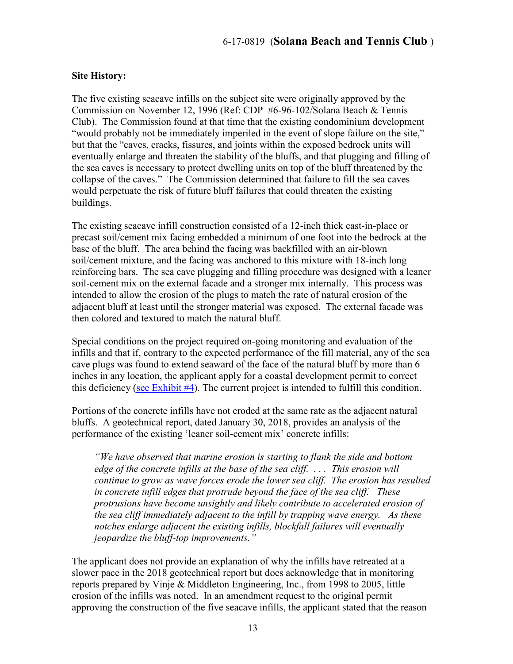#### **Site History:**

The five existing seacave infills on the subject site were originally approved by the Commission on November 12, 1996 (Ref: CDP #6-96-102/Solana Beach & Tennis Club). The Commission found at that time that the existing condominium development "would probably not be immediately imperiled in the event of slope failure on the site," but that the "caves, cracks, fissures, and joints within the exposed bedrock units will eventually enlarge and threaten the stability of the bluffs, and that plugging and filling of the sea caves is necessary to protect dwelling units on top of the bluff threatened by the collapse of the caves." The Commission determined that failure to fill the sea caves would perpetuate the risk of future bluff failures that could threaten the existing buildings.

The existing seacave infill construction consisted of a 12-inch thick cast-in-place or precast soil/cement mix facing embedded a minimum of one foot into the bedrock at the base of the bluff. The area behind the facing was backfilled with an air-blown soil/cement mixture, and the facing was anchored to this mixture with 18-inch long reinforcing bars. The sea cave plugging and filling procedure was designed with a leaner soil-cement mix on the external facade and a stronger mix internally. This process was intended to allow the erosion of the plugs to match the rate of natural erosion of the adjacent bluff at least until the stronger material was exposed. The external facade was then colored and textured to match the natural bluff.

Special conditions on the project required on-going monitoring and evaluation of the infills and that if, contrary to the expected performance of the fill material, any of the sea cave plugs was found to extend seaward of the face of the natural bluff by more than 6 inches in any location, the applicant apply for a coastal development permit to correct this deficiency [\(see Exhibit #4\)](https://documents.coastal.ca.gov/reports/2018/8/W20c/W20c-8-2018-exhibits.pdf). The current project is intended to fulfill this condition.

Portions of the concrete infills have not eroded at the same rate as the adjacent natural bluffs. A geotechnical report, dated January 30, 2018, provides an analysis of the performance of the existing 'leaner soil-cement mix' concrete infills:

*"We have observed that marine erosion is starting to flank the side and bottom edge of the concrete infills at the base of the sea cliff. . . . This erosion will continue to grow as wave forces erode the lower sea cliff. The erosion has resulted in concrete infill edges that protrude beyond the face of the sea cliff. These protrusions have become unsightly and likely contribute to accelerated erosion of the sea cliff immediately adjacent to the infill by trapping wave energy. As these notches enlarge adjacent the existing infills, blockfall failures will eventually jeopardize the bluff-top improvements."* 

The applicant does not provide an explanation of why the infills have retreated at a slower pace in the 2018 geotechnical report but does acknowledge that in monitoring reports prepared by Vinje & Middleton Engineering, Inc., from 1998 to 2005, little erosion of the infills was noted. In an amendment request to the original permit approving the construction of the five seacave infills, the applicant stated that the reason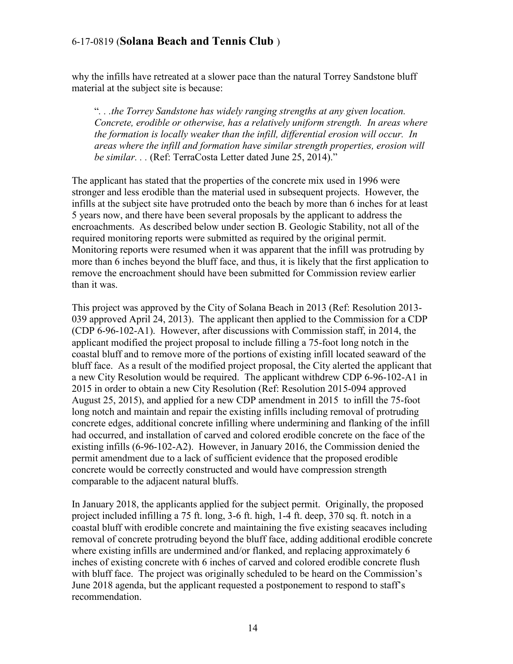why the infills have retreated at a slower pace than the natural Torrey Sandstone bluff material at the subject site is because:

"*. . .the Torrey Sandstone has widely ranging strengths at any given location. Concrete, erodible or otherwise, has a relatively uniform strength. In areas where the formation is locally weaker than the infill, differential erosion will occur. In areas where the infill and formation have similar strength properties, erosion will be similar. . .* (Ref: TerraCosta Letter dated June 25, 2014)."

The applicant has stated that the properties of the concrete mix used in 1996 were stronger and less erodible than the material used in subsequent projects. However, the infills at the subject site have protruded onto the beach by more than 6 inches for at least 5 years now, and there have been several proposals by the applicant to address the encroachments. As described below under section B. Geologic Stability, not all of the required monitoring reports were submitted as required by the original permit. Monitoring reports were resumed when it was apparent that the infill was protruding by more than 6 inches beyond the bluff face, and thus, it is likely that the first application to remove the encroachment should have been submitted for Commission review earlier than it was.

This project was approved by the City of Solana Beach in 2013 (Ref: Resolution 2013- 039 approved April 24, 2013). The applicant then applied to the Commission for a CDP (CDP 6-96-102-A1). However, after discussions with Commission staff, in 2014, the applicant modified the project proposal to include filling a 75-foot long notch in the coastal bluff and to remove more of the portions of existing infill located seaward of the bluff face. As a result of the modified project proposal, the City alerted the applicant that a new City Resolution would be required. The applicant withdrew CDP 6-96-102-A1 in 2015 in order to obtain a new City Resolution (Ref: Resolution 2015-094 approved August 25, 2015), and applied for a new CDP amendment in 2015 to infill the 75-foot long notch and maintain and repair the existing infills including removal of protruding concrete edges, additional concrete infilling where undermining and flanking of the infill had occurred, and installation of carved and colored erodible concrete on the face of the existing infills (6-96-102-A2). However, in January 2016, the Commission denied the permit amendment due to a lack of sufficient evidence that the proposed erodible concrete would be correctly constructed and would have compression strength comparable to the adjacent natural bluffs.

In January 2018, the applicants applied for the subject permit. Originally, the proposed project included infilling a 75 ft. long, 3-6 ft. high, 1-4 ft. deep, 370 sq. ft. notch in a coastal bluff with erodible concrete and maintaining the five existing seacaves including removal of concrete protruding beyond the bluff face, adding additional erodible concrete where existing infills are undermined and/or flanked, and replacing approximately 6 inches of existing concrete with 6 inches of carved and colored erodible concrete flush with bluff face. The project was originally scheduled to be heard on the Commission's June 2018 agenda, but the applicant requested a postponement to respond to staff's recommendation.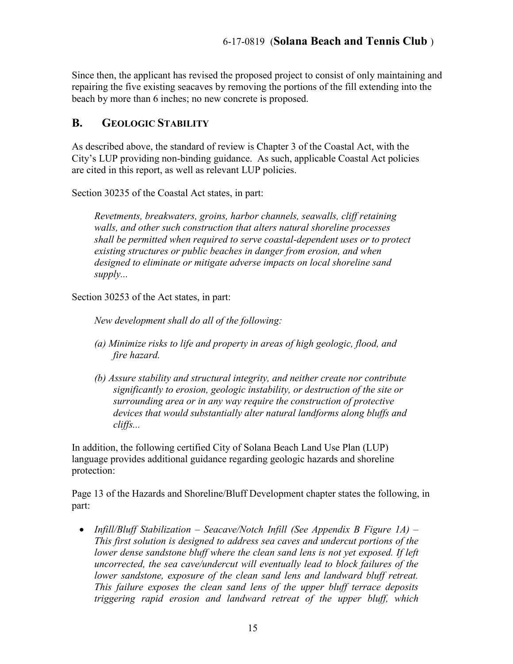Since then, the applicant has revised the proposed project to consist of only maintaining and repairing the five existing seacaves by removing the portions of the fill extending into the beach by more than 6 inches; no new concrete is proposed.

# <span id="page-14-0"></span>**B. GEOLOGIC STABILITY**

As described above, the standard of review is Chapter 3 of the Coastal Act, with the City's LUP providing non-binding guidance. As such, applicable Coastal Act policies are cited in this report, as well as relevant LUP policies.

Section 30235 of the Coastal Act states, in part:

*Revetments, breakwaters, groins, harbor channels, seawalls, cliff retaining walls, and other such construction that alters natural shoreline processes shall be permitted when required to serve coastal-dependent uses or to protect existing structures or public beaches in danger from erosion, and when designed to eliminate or mitigate adverse impacts on local shoreline sand supply...* 

Section 30253 of the Act states, in part:

*New development shall do all of the following:* 

- *(a) Minimize risks to life and property in areas of high geologic, flood, and fire hazard.*
- *(b) Assure stability and structural integrity, and neither create nor contribute significantly to erosion, geologic instability, or destruction of the site or surrounding area or in any way require the construction of protective devices that would substantially alter natural landforms along bluffs and cliffs...*

In addition, the following certified City of Solana Beach Land Use Plan (LUP) language provides additional guidance regarding geologic hazards and shoreline protection:

Page 13 of the Hazards and Shoreline/Bluff Development chapter states the following, in part:

 *Infill/Bluff Stabilization – Seacave/Notch Infill (See Appendix B Figure 1A) – This first solution is designed to address sea caves and undercut portions of the lower dense sandstone bluff where the clean sand lens is not yet exposed. If left uncorrected, the sea cave/undercut will eventually lead to block failures of the lower sandstone, exposure of the clean sand lens and landward bluff retreat. This failure exposes the clean sand lens of the upper bluff terrace deposits triggering rapid erosion and landward retreat of the upper bluff, which*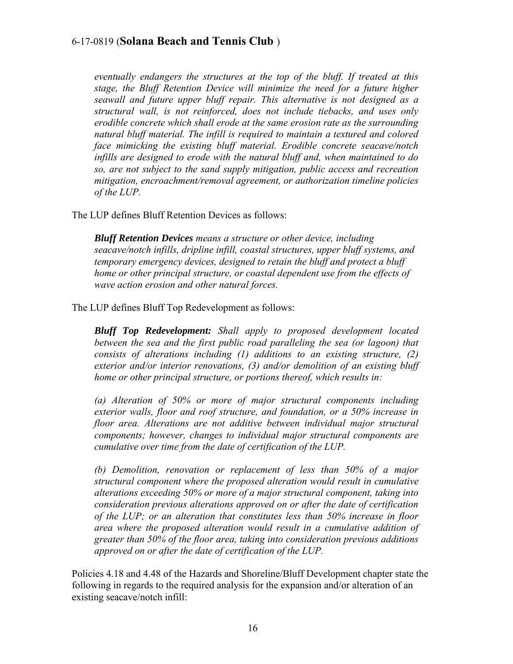*eventually endangers the structures at the top of the bluff. If treated at this stage, the Bluff Retention Device will minimize the need for a future higher seawall and future upper bluff repair. This alternative is not designed as a structural wall, is not reinforced, does not include tiebacks, and uses only erodible concrete which shall erode at the same erosion rate as the surrounding natural bluff material. The infill is required to maintain a textured and colored face mimicking the existing bluff material. Erodible concrete seacave/notch infills are designed to erode with the natural bluff and, when maintained to do so, are not subject to the sand supply mitigation, public access and recreation mitigation, encroachment/removal agreement, or authorization timeline policies of the LUP.* 

The LUP defines Bluff Retention Devices as follows:

*Bluff Retention Devices means a structure or other device, including seacave/notch infills, dripline infill, coastal structures, upper bluff systems, and temporary emergency devices, designed to retain the bluff and protect a bluff home or other principal structure, or coastal dependent use from the effects of wave action erosion and other natural forces.* 

The LUP defines Bluff Top Redevelopment as follows:

*Bluff Top Redevelopment: Shall apply to proposed development located between the sea and the first public road paralleling the sea (or lagoon) that consists of alterations including (1) additions to an existing structure, (2) exterior and/or interior renovations, (3) and/or demolition of an existing bluff home or other principal structure, or portions thereof, which results in:* 

*(a) Alteration of 50% or more of major structural components including exterior walls, floor and roof structure, and foundation, or a 50% increase in floor area. Alterations are not additive between individual major structural components; however, changes to individual major structural components are cumulative over time from the date of certification of the LUP.*

*(b) Demolition, renovation or replacement of less than 50% of a major structural component where the proposed alteration would result in cumulative alterations exceeding 50% or more of a major structural component, taking into consideration previous alterations approved on or after the date of certification of the LUP; or an alteration that constitutes less than 50% increase in floor area where the proposed alteration would result in a cumulative addition of greater than 50% of the floor area, taking into consideration previous additions approved on or after the date of certification of the LUP.* 

Policies 4.18 and 4.48 of the Hazards and Shoreline/Bluff Development chapter state the following in regards to the required analysis for the expansion and/or alteration of an existing seacave/notch infill: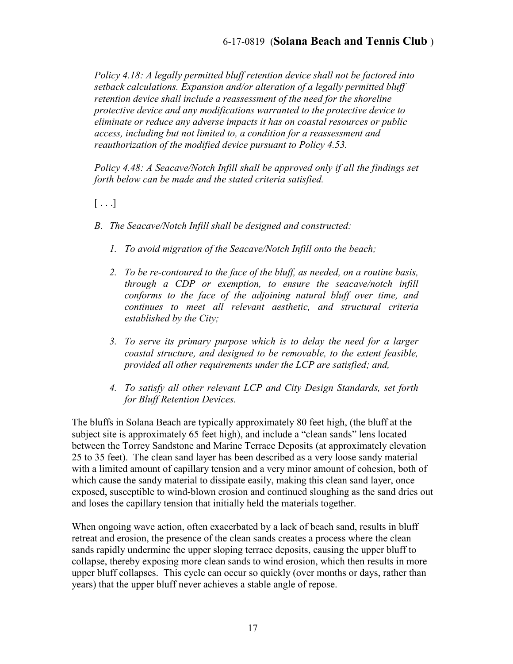*Policy 4.18: A legally permitted bluff retention device shall not be factored into setback calculations. Expansion and/or alteration of a legally permitted bluff retention device shall include a reassessment of the need for the shoreline protective device and any modifications warranted to the protective device to eliminate or reduce any adverse impacts it has on coastal resources or public access, including but not limited to, a condition for a reassessment and reauthorization of the modified device pursuant to Policy 4.53.* 

*Policy 4.48: A Seacave/Notch Infill shall be approved only if all the findings set forth below can be made and the stated criteria satisfied.* 

 $[\ldots]$ 

- *B. The Seacave/Notch Infill shall be designed and constructed:* 
	- *1. To avoid migration of the Seacave/Notch Infill onto the beach;*
	- *2. To be re-contoured to the face of the bluff, as needed, on a routine basis, through a CDP or exemption, to ensure the seacave/notch infill conforms to the face of the adjoining natural bluff over time, and continues to meet all relevant aesthetic, and structural criteria established by the City;*
	- *3. To serve its primary purpose which is to delay the need for a larger coastal structure, and designed to be removable, to the extent feasible, provided all other requirements under the LCP are satisfied; and,*
	- *4. To satisfy all other relevant LCP and City Design Standards, set forth for Bluff Retention Devices.*

The bluffs in Solana Beach are typically approximately 80 feet high, (the bluff at the subject site is approximately 65 feet high), and include a "clean sands" lens located between the Torrey Sandstone and Marine Terrace Deposits (at approximately elevation 25 to 35 feet). The clean sand layer has been described as a very loose sandy material with a limited amount of capillary tension and a very minor amount of cohesion, both of which cause the sandy material to dissipate easily, making this clean sand layer, once exposed, susceptible to wind-blown erosion and continued sloughing as the sand dries out and loses the capillary tension that initially held the materials together.

When ongoing wave action, often exacerbated by a lack of beach sand, results in bluff retreat and erosion, the presence of the clean sands creates a process where the clean sands rapidly undermine the upper sloping terrace deposits, causing the upper bluff to collapse, thereby exposing more clean sands to wind erosion, which then results in more upper bluff collapses. This cycle can occur so quickly (over months or days, rather than years) that the upper bluff never achieves a stable angle of repose.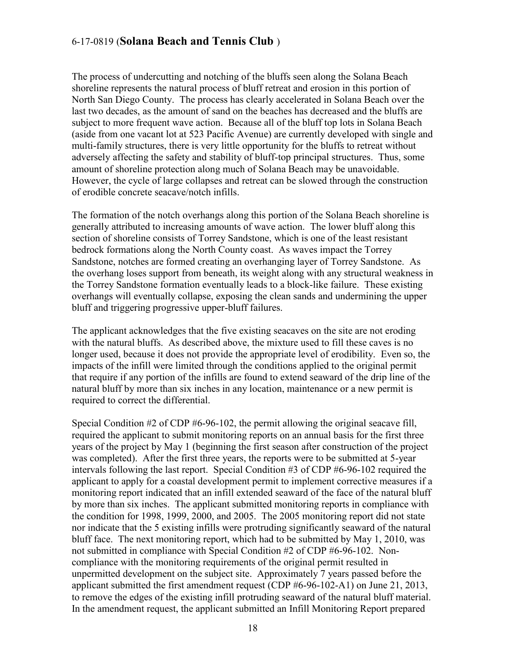The process of undercutting and notching of the bluffs seen along the Solana Beach shoreline represents the natural process of bluff retreat and erosion in this portion of North San Diego County. The process has clearly accelerated in Solana Beach over the last two decades, as the amount of sand on the beaches has decreased and the bluffs are subject to more frequent wave action. Because all of the bluff top lots in Solana Beach (aside from one vacant lot at 523 Pacific Avenue) are currently developed with single and multi-family structures, there is very little opportunity for the bluffs to retreat without adversely affecting the safety and stability of bluff-top principal structures. Thus, some amount of shoreline protection along much of Solana Beach may be unavoidable. However, the cycle of large collapses and retreat can be slowed through the construction of erodible concrete seacave/notch infills.

The formation of the notch overhangs along this portion of the Solana Beach shoreline is generally attributed to increasing amounts of wave action. The lower bluff along this section of shoreline consists of Torrey Sandstone, which is one of the least resistant bedrock formations along the North County coast. As waves impact the Torrey Sandstone, notches are formed creating an overhanging layer of Torrey Sandstone. As the overhang loses support from beneath, its weight along with any structural weakness in the Torrey Sandstone formation eventually leads to a block-like failure. These existing overhangs will eventually collapse, exposing the clean sands and undermining the upper bluff and triggering progressive upper-bluff failures.

The applicant acknowledges that the five existing seacaves on the site are not eroding with the natural bluffs. As described above, the mixture used to fill these caves is no longer used, because it does not provide the appropriate level of erodibility. Even so, the impacts of the infill were limited through the conditions applied to the original permit that require if any portion of the infills are found to extend seaward of the drip line of the natural bluff by more than six inches in any location, maintenance or a new permit is required to correct the differential.

Special Condition #2 of CDP #6-96-102, the permit allowing the original seacave fill, required the applicant to submit monitoring reports on an annual basis for the first three years of the project by May 1 (beginning the first season after construction of the project was completed). After the first three years, the reports were to be submitted at 5-year intervals following the last report. Special Condition #3 of CDP #6-96-102 required the applicant to apply for a coastal development permit to implement corrective measures if a monitoring report indicated that an infill extended seaward of the face of the natural bluff by more than six inches. The applicant submitted monitoring reports in compliance with the condition for 1998, 1999, 2000, and 2005. The 2005 monitoring report did not state nor indicate that the 5 existing infills were protruding significantly seaward of the natural bluff face. The next monitoring report, which had to be submitted by May 1, 2010, was not submitted in compliance with Special Condition #2 of CDP #6-96-102. Noncompliance with the monitoring requirements of the original permit resulted in unpermitted development on the subject site. Approximately 7 years passed before the applicant submitted the first amendment request (CDP #6-96-102-A1) on June 21, 2013, to remove the edges of the existing infill protruding seaward of the natural bluff material. In the amendment request, the applicant submitted an Infill Monitoring Report prepared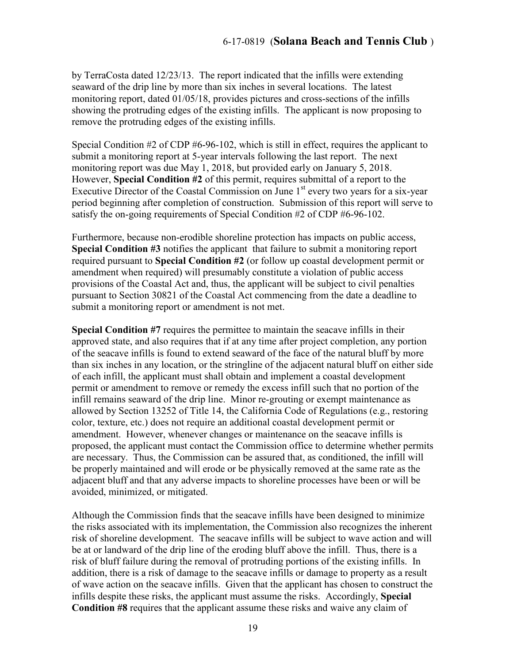by TerraCosta dated 12/23/13. The report indicated that the infills were extending seaward of the drip line by more than six inches in several locations. The latest monitoring report, dated 01/05/18, provides pictures and cross-sections of the infills showing the protruding edges of the existing infills. The applicant is now proposing to remove the protruding edges of the existing infills.

Special Condition #2 of CDP #6-96-102, which is still in effect, requires the applicant to submit a monitoring report at 5-year intervals following the last report. The next monitoring report was due May 1, 2018, but provided early on January 5, 2018. However, **Special Condition #2** of this permit, requires submittal of a report to the Executive Director of the Coastal Commission on June  $1<sup>st</sup>$  every two years for a six-year period beginning after completion of construction. Submission of this report will serve to satisfy the on-going requirements of Special Condition #2 of CDP #6-96-102.

Furthermore, because non-erodible shoreline protection has impacts on public access, **Special Condition #3** notifies the applicant that failure to submit a monitoring report required pursuant to **Special Condition #2** (or follow up coastal development permit or amendment when required) will presumably constitute a violation of public access provisions of the Coastal Act and, thus, the applicant will be subject to civil penalties pursuant to Section 30821 of the Coastal Act commencing from the date a deadline to submit a monitoring report or amendment is not met.

**Special Condition #7** requires the permittee to maintain the seacave infills in their approved state, and also requires that if at any time after project completion, any portion of the seacave infills is found to extend seaward of the face of the natural bluff by more than six inches in any location, or the stringline of the adjacent natural bluff on either side of each infill, the applicant must shall obtain and implement a coastal development permit or amendment to remove or remedy the excess infill such that no portion of the infill remains seaward of the drip line. Minor re-grouting or exempt maintenance as allowed by Section 13252 of Title 14, the California Code of Regulations (e.g., restoring color, texture, etc.) does not require an additional coastal development permit or amendment. However, whenever changes or maintenance on the seacave infills is proposed, the applicant must contact the Commission office to determine whether permits are necessary. Thus, the Commission can be assured that, as conditioned, the infill will be properly maintained and will erode or be physically removed at the same rate as the adjacent bluff and that any adverse impacts to shoreline processes have been or will be avoided, minimized, or mitigated.

Although the Commission finds that the seacave infills have been designed to minimize the risks associated with its implementation, the Commission also recognizes the inherent risk of shoreline development. The seacave infills will be subject to wave action and will be at or landward of the drip line of the eroding bluff above the infill. Thus, there is a risk of bluff failure during the removal of protruding portions of the existing infills. In addition, there is a risk of damage to the seacave infills or damage to property as a result of wave action on the seacave infills. Given that the applicant has chosen to construct the infills despite these risks, the applicant must assume the risks. Accordingly, **Special Condition #8** requires that the applicant assume these risks and waive any claim of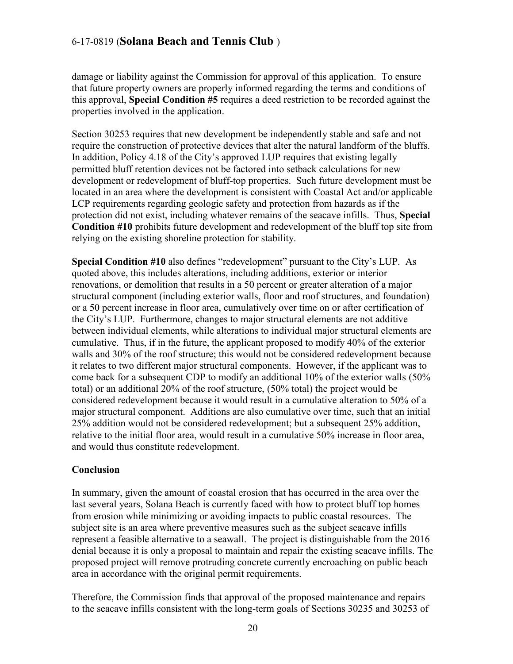damage or liability against the Commission for approval of this application. To ensure that future property owners are properly informed regarding the terms and conditions of this approval, **Special Condition #5** requires a deed restriction to be recorded against the properties involved in the application.

Section 30253 requires that new development be independently stable and safe and not require the construction of protective devices that alter the natural landform of the bluffs. In addition, Policy 4.18 of the City's approved LUP requires that existing legally permitted bluff retention devices not be factored into setback calculations for new development or redevelopment of bluff-top properties. Such future development must be located in an area where the development is consistent with Coastal Act and/or applicable LCP requirements regarding geologic safety and protection from hazards as if the protection did not exist, including whatever remains of the seacave infills. Thus, **Special Condition #10** prohibits future development and redevelopment of the bluff top site from relying on the existing shoreline protection for stability.

**Special Condition #10** also defines "redevelopment" pursuant to the City's LUP. As quoted above, this includes alterations, including additions, exterior or interior renovations, or demolition that results in a 50 percent or greater alteration of a major structural component (including exterior walls, floor and roof structures, and foundation) or a 50 percent increase in floor area, cumulatively over time on or after certification of the City's LUP. Furthermore, changes to major structural elements are not additive between individual elements, while alterations to individual major structural elements are cumulative. Thus, if in the future, the applicant proposed to modify 40% of the exterior walls and 30% of the roof structure; this would not be considered redevelopment because it relates to two different major structural components. However, if the applicant was to come back for a subsequent CDP to modify an additional 10% of the exterior walls (50% total) or an additional 20% of the roof structure, (50% total) the project would be considered redevelopment because it would result in a cumulative alteration to 50% of a major structural component. Additions are also cumulative over time, such that an initial 25% addition would not be considered redevelopment; but a subsequent 25% addition, relative to the initial floor area, would result in a cumulative 50% increase in floor area, and would thus constitute redevelopment.

#### **Conclusion**

In summary, given the amount of coastal erosion that has occurred in the area over the last several years, Solana Beach is currently faced with how to protect bluff top homes from erosion while minimizing or avoiding impacts to public coastal resources. The subject site is an area where preventive measures such as the subject seacave infills represent a feasible alternative to a seawall. The project is distinguishable from the 2016 denial because it is only a proposal to maintain and repair the existing seacave infills. The proposed project will remove protruding concrete currently encroaching on public beach area in accordance with the original permit requirements.

Therefore, the Commission finds that approval of the proposed maintenance and repairs to the seacave infills consistent with the long-term goals of Sections 30235 and 30253 of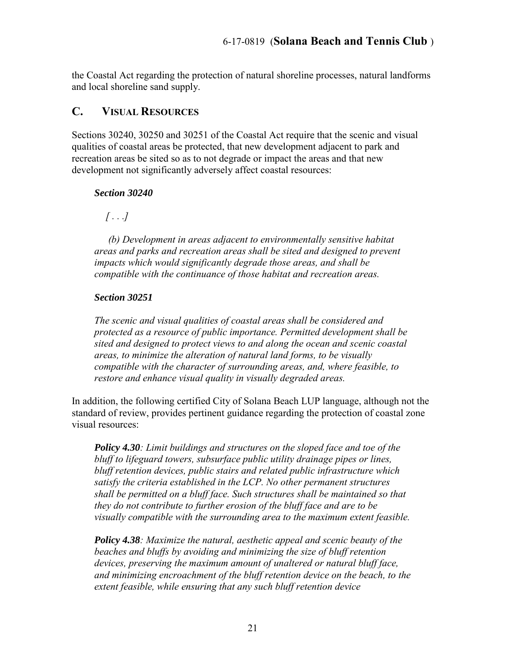the Coastal Act regarding the protection of natural shoreline processes, natural landforms and local shoreline sand supply.

#### <span id="page-20-0"></span>**C. VISUAL RESOURCES**

Sections 30240, 30250 and 30251 of the Coastal Act require that the scenic and visual qualities of coastal areas be protected, that new development adjacent to park and recreation areas be sited so as to not degrade or impact the areas and that new development not significantly adversely affect coastal resources:

#### *Section 30240*

 *[ . . .]* 

 *(b) Development in areas adjacent to environmentally sensitive habitat areas and parks and recreation areas shall be sited and designed to prevent impacts which would significantly degrade those areas, and shall be compatible with the continuance of those habitat and recreation areas.* 

#### *Section 30251*

*The scenic and visual qualities of coastal areas shall be considered and protected as a resource of public importance. Permitted development shall be sited and designed to protect views to and along the ocean and scenic coastal areas, to minimize the alteration of natural land forms, to be visually compatible with the character of surrounding areas, and, where feasible, to restore and enhance visual quality in visually degraded areas.* 

In addition, the following certified City of Solana Beach LUP language, although not the standard of review, provides pertinent guidance regarding the protection of coastal zone visual resources:

*Policy 4.30: Limit buildings and structures on the sloped face and toe of the bluff to lifeguard towers, subsurface public utility drainage pipes or lines, bluff retention devices, public stairs and related public infrastructure which satisfy the criteria established in the LCP. No other permanent structures shall be permitted on a bluff face. Such structures shall be maintained so that they do not contribute to further erosion of the bluff face and are to be visually compatible with the surrounding area to the maximum extent feasible.* 

*Policy 4.38: Maximize the natural, aesthetic appeal and scenic beauty of the beaches and bluffs by avoiding and minimizing the size of bluff retention devices, preserving the maximum amount of unaltered or natural bluff face, and minimizing encroachment of the bluff retention device on the beach, to the extent feasible, while ensuring that any such bluff retention device*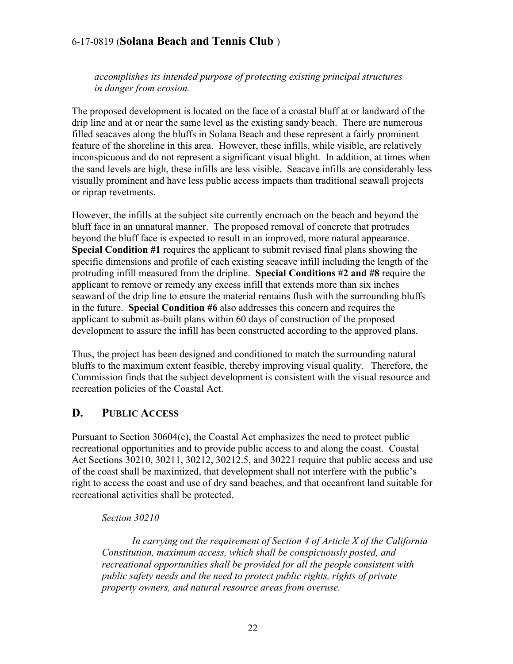*accomplishes its intended purpose of protecting existing principal structures in danger from erosion.* 

The proposed development is located on the face of a coastal bluff at or landward of the drip line and at or near the same level as the existing sandy beach. There are numerous filled seacaves along the bluffs in Solana Beach and these represent a fairly prominent feature of the shoreline in this area. However, these infills, while visible, are relatively inconspicuous and do not represent a significant visual blight. In addition, at times when the sand levels are high, these infills are less visible. Seacave infills are considerably less visually prominent and have less public access impacts than traditional seawall projects or riprap revetments.

However, the infills at the subject site currently encroach on the beach and beyond the bluff face in an unnatural manner. The proposed removal of concrete that protrudes beyond the bluff face is expected to result in an improved, more natural appearance. **Special Condition #1** requires the applicant to submit revised final plans showing the specific dimensions and profile of each existing seacave infill including the length of the protruding infill measured from the dripline. **Special Conditions #2 and #8** require the applicant to remove or remedy any excess infill that extends more than six inches seaward of the drip line to ensure the material remains flush with the surrounding bluffs in the future. **Special Condition #6** also addresses this concern and requires the applicant to submit as-built plans within 60 days of construction of the proposed development to assure the infill has been constructed according to the approved plans.

Thus, the project has been designed and conditioned to match the surrounding natural bluffs to the maximum extent feasible, thereby improving visual quality. Therefore, the Commission finds that the subject development is consistent with the visual resource and recreation policies of the Coastal Act.

#### <span id="page-21-0"></span>**D. PUBLIC ACCESS**

Pursuant to Section 30604(c), the Coastal Act emphasizes the need to protect public recreational opportunities and to provide public access to and along the coast. Coastal Act Sections 30210, 30211, 30212, 30212.5, and 30221 require that public access and use of the coast shall be maximized, that development shall not interfere with the public's right to access the coast and use of dry sand beaches, and that oceanfront land suitable for recreational activities shall be protected.

*Section 30210* 

 *In carrying out the requirement of Section 4 of Article X of the California Constitution, maximum access, which shall be conspicuously posted, and recreational opportunities shall be provided for all the people consistent with public safety needs and the need to protect public rights, rights of private property owners, and natural resource areas from overuse.*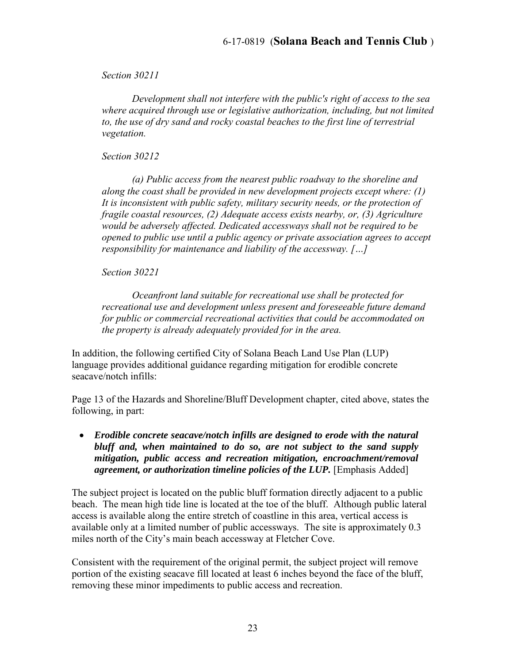*Section 30211* 

 *Development shall not interfere with the public's right of access to the sea where acquired through use or legislative authorization, including, but not limited to, the use of dry sand and rocky coastal beaches to the first line of terrestrial vegetation.* 

*Section 30212* 

 *(a) Public access from the nearest public roadway to the shoreline and along the coast shall be provided in new development projects except where: (1) It is inconsistent with public safety, military security needs, or the protection of fragile coastal resources, (2) Adequate access exists nearby, or, (3) Agriculture would be adversely affected. Dedicated accessways shall not be required to be opened to public use until a public agency or private association agrees to accept responsibility for maintenance and liability of the accessway. […]* 

*Section 30221* 

 *Oceanfront land suitable for recreational use shall be protected for recreational use and development unless present and foreseeable future demand for public or commercial recreational activities that could be accommodated on the property is already adequately provided for in the area.* 

In addition, the following certified City of Solana Beach Land Use Plan (LUP) language provides additional guidance regarding mitigation for erodible concrete seacave/notch infills:

Page 13 of the Hazards and Shoreline/Bluff Development chapter, cited above, states the following, in part:

 *Erodible concrete seacave/notch infills are designed to erode with the natural bluff and, when maintained to do so, are not subject to the sand supply mitigation, public access and recreation mitigation, encroachment/removal agreement, or authorization timeline policies of the LUP.* [Emphasis Added]

The subject project is located on the public bluff formation directly adjacent to a public beach. The mean high tide line is located at the toe of the bluff. Although public lateral access is available along the entire stretch of coastline in this area, vertical access is available only at a limited number of public accessways. The site is approximately 0.3 miles north of the City's main beach accessway at Fletcher Cove.

Consistent with the requirement of the original permit, the subject project will remove portion of the existing seacave fill located at least 6 inches beyond the face of the bluff, removing these minor impediments to public access and recreation.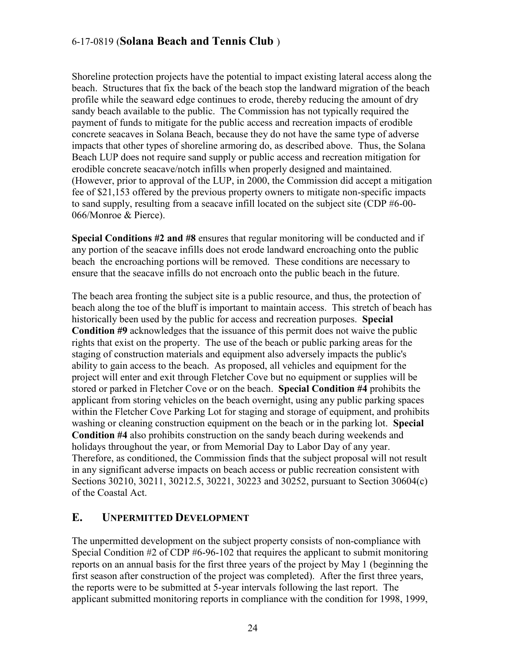Shoreline protection projects have the potential to impact existing lateral access along the beach. Structures that fix the back of the beach stop the landward migration of the beach profile while the seaward edge continues to erode, thereby reducing the amount of dry sandy beach available to the public. The Commission has not typically required the payment of funds to mitigate for the public access and recreation impacts of erodible concrete seacaves in Solana Beach, because they do not have the same type of adverse impacts that other types of shoreline armoring do, as described above. Thus, the Solana Beach LUP does not require sand supply or public access and recreation mitigation for erodible concrete seacave/notch infills when properly designed and maintained. (However, prior to approval of the LUP, in 2000, the Commission did accept a mitigation fee of \$21,153 offered by the previous property owners to mitigate non-specific impacts to sand supply, resulting from a seacave infill located on the subject site (CDP #6-00- 066/Monroe & Pierce).

**Special Conditions #2 and #8** ensures that regular monitoring will be conducted and if any portion of the seacave infills does not erode landward encroaching onto the public beach the encroaching portions will be removed. These conditions are necessary to ensure that the seacave infills do not encroach onto the public beach in the future.

The beach area fronting the subject site is a public resource, and thus, the protection of beach along the toe of the bluff is important to maintain access. This stretch of beach has historically been used by the public for access and recreation purposes. **Special Condition #9** acknowledges that the issuance of this permit does not waive the public rights that exist on the property. The use of the beach or public parking areas for the staging of construction materials and equipment also adversely impacts the public's ability to gain access to the beach. As proposed, all vehicles and equipment for the project will enter and exit through Fletcher Cove but no equipment or supplies will be stored or parked in Fletcher Cove or on the beach. **Special Condition #4** prohibits the applicant from storing vehicles on the beach overnight, using any public parking spaces within the Fletcher Cove Parking Lot for staging and storage of equipment, and prohibits washing or cleaning construction equipment on the beach or in the parking lot. **Special Condition #4** also prohibits construction on the sandy beach during weekends and holidays throughout the year, or from Memorial Day to Labor Day of any year. Therefore, as conditioned, the Commission finds that the subject proposal will not result in any significant adverse impacts on beach access or public recreation consistent with Sections 30210, 30211, 30212.5, 30221, 30223 and 30252, pursuant to Section 30604(c) of the Coastal Act.

#### <span id="page-23-0"></span>**E. UNPERMITTED DEVELOPMENT**

The unpermitted development on the subject property consists of non-compliance with Special Condition #2 of CDP #6-96-102 that requires the applicant to submit monitoring reports on an annual basis for the first three years of the project by May 1 (beginning the first season after construction of the project was completed). After the first three years, the reports were to be submitted at 5-year intervals following the last report. The applicant submitted monitoring reports in compliance with the condition for 1998, 1999,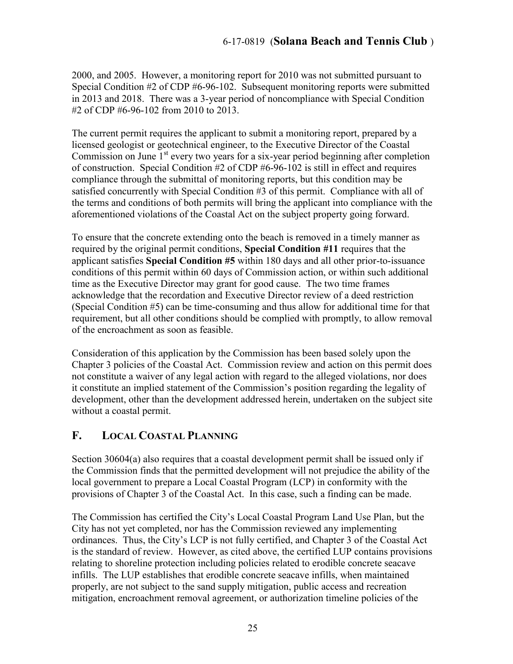2000, and 2005. However, a monitoring report for 2010 was not submitted pursuant to Special Condition #2 of CDP #6-96-102. Subsequent monitoring reports were submitted in 2013 and 2018. There was a 3-year period of noncompliance with Special Condition #2 of CDP #6-96-102 from 2010 to 2013.

The current permit requires the applicant to submit a monitoring report, prepared by a licensed geologist or geotechnical engineer, to the Executive Director of the Coastal Commission on June  $1<sup>st</sup>$  every two years for a six-year period beginning after completion of construction. Special Condition #2 of CDP #6-96-102 is still in effect and requires compliance through the submittal of monitoring reports, but this condition may be satisfied concurrently with Special Condition #3 of this permit. Compliance with all of the terms and conditions of both permits will bring the applicant into compliance with the aforementioned violations of the Coastal Act on the subject property going forward.

To ensure that the concrete extending onto the beach is removed in a timely manner as required by the original permit conditions, **Special Condition #11** requires that the applicant satisfies **Special Condition #5** within 180 days and all other prior-to-issuance conditions of this permit within 60 days of Commission action, or within such additional time as the Executive Director may grant for good cause. The two time frames acknowledge that the recordation and Executive Director review of a deed restriction (Special Condition #5) can be time-consuming and thus allow for additional time for that requirement, but all other conditions should be complied with promptly, to allow removal of the encroachment as soon as feasible.

Consideration of this application by the Commission has been based solely upon the Chapter 3 policies of the Coastal Act. Commission review and action on this permit does not constitute a waiver of any legal action with regard to the alleged violations, nor does it constitute an implied statement of the Commission's position regarding the legality of development, other than the development addressed herein, undertaken on the subject site without a coastal permit.

### <span id="page-24-0"></span>**F. LOCAL COASTAL PLANNING**

Section 30604(a) also requires that a coastal development permit shall be issued only if the Commission finds that the permitted development will not prejudice the ability of the local government to prepare a Local Coastal Program (LCP) in conformity with the provisions of Chapter 3 of the Coastal Act. In this case, such a finding can be made.

The Commission has certified the City's Local Coastal Program Land Use Plan, but the City has not yet completed, nor has the Commission reviewed any implementing ordinances. Thus, the City's LCP is not fully certified, and Chapter 3 of the Coastal Act is the standard of review. However, as cited above, the certified LUP contains provisions relating to shoreline protection including policies related to erodible concrete seacave infills. The LUP establishes that erodible concrete seacave infills, when maintained properly, are not subject to the sand supply mitigation, public access and recreation mitigation, encroachment removal agreement, or authorization timeline policies of the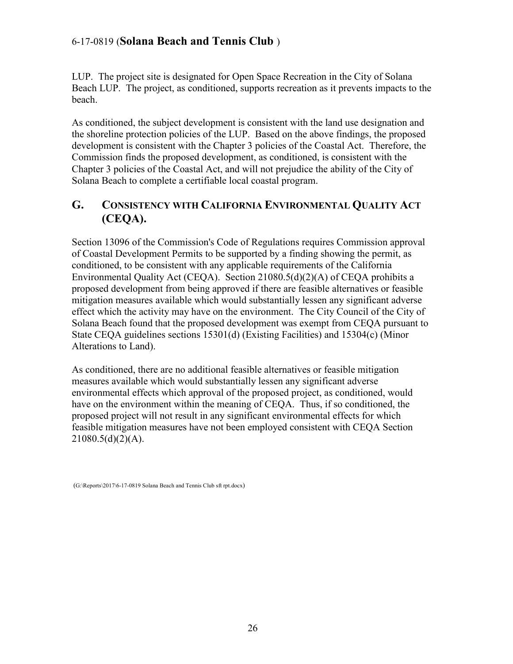LUP. The project site is designated for Open Space Recreation in the City of Solana Beach LUP. The project, as conditioned, supports recreation as it prevents impacts to the beach.

As conditioned, the subject development is consistent with the land use designation and the shoreline protection policies of the LUP. Based on the above findings, the proposed development is consistent with the Chapter 3 policies of the Coastal Act. Therefore, the Commission finds the proposed development, as conditioned, is consistent with the Chapter 3 policies of the Coastal Act, and will not prejudice the ability of the City of Solana Beach to complete a certifiable local coastal program.

### <span id="page-25-0"></span>**G. CONSISTENCY WITH CALIFORNIA ENVIRONMENTAL QUALITY ACT (CEQA).**

Section 13096 of the Commission's Code of Regulations requires Commission approval of Coastal Development Permits to be supported by a finding showing the permit, as conditioned, to be consistent with any applicable requirements of the California Environmental Quality Act (CEQA). Section 21080.5(d)(2)(A) of CEQA prohibits a proposed development from being approved if there are feasible alternatives or feasible mitigation measures available which would substantially lessen any significant adverse effect which the activity may have on the environment. The City Council of the City of Solana Beach found that the proposed development was exempt from CEQA pursuant to State CEQA guidelines sections 15301(d) (Existing Facilities) and 15304(c) (Minor Alterations to Land).

As conditioned, there are no additional feasible alternatives or feasible mitigation measures available which would substantially lessen any significant adverse environmental effects which approval of the proposed project, as conditioned, would have on the environment within the meaning of CEQA. Thus, if so conditioned, the proposed project will not result in any significant environmental effects for which feasible mitigation measures have not been employed consistent with CEQA Section  $21080.5(d)(2)(A)$ .

(G:\Reports\2017\6-17-0819 Solana Beach and Tennis Club sft rpt.docx)